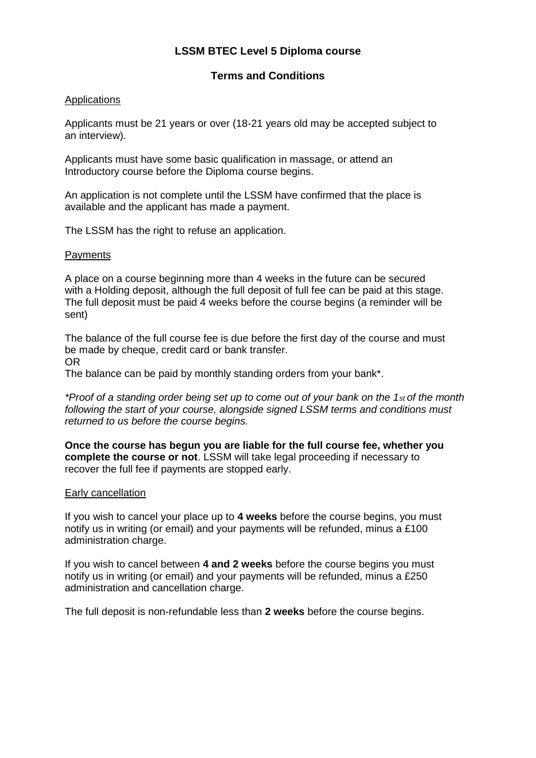# **LSSM BTEC Level 5 Diploma course**

# **Terms and Conditions**

## Applications

Applicants must be 21 years or over (18-21 years old may be accepted subject to an interview).

Applicants must have some basic qualification in massage, or attend an Introductory course before the Diploma course begins.

An application is not complete until the LSSM have confirmed that the place is available and the applicant has made a payment.

The LSSM has the right to refuse an application.

## **Payments**

A place on a course beginning more than 4 weeks in the future can be secured with a Holding deposit, although the full deposit of full fee can be paid at this stage. The full deposit must be paid 4 weeks before the course begins (a reminder will be sent)

The balance of the full course fee is due before the first day of the course and must be made by cheque, credit card or bank transfer. OR

The balance can be paid by monthly standing orders from your bank\*.

*\*Proof of a standing order being set up to come out of your bank on the 1st of the month following the start of your course, alongside signed LSSM terms and conditions must returned to us before the course begins.* 

**Once the course has begun you are liable for the full course fee, whether you complete the course or not**. LSSM will take legal proceeding if necessary to recover the full fee if payments are stopped early.

## **Early cancellation**

If you wish to cancel your place up to **4 weeks** before the course begins, you must notify us in writing (or email) and your payments will be refunded, minus a £100 administration charge.

If you wish to cancel between **4 and 2 weeks** before the course begins you must notify us in writing (or email) and your payments will be refunded, minus a £250 administration and cancellation charge.

The full deposit is non-refundable less than **2 weeks** before the course begins.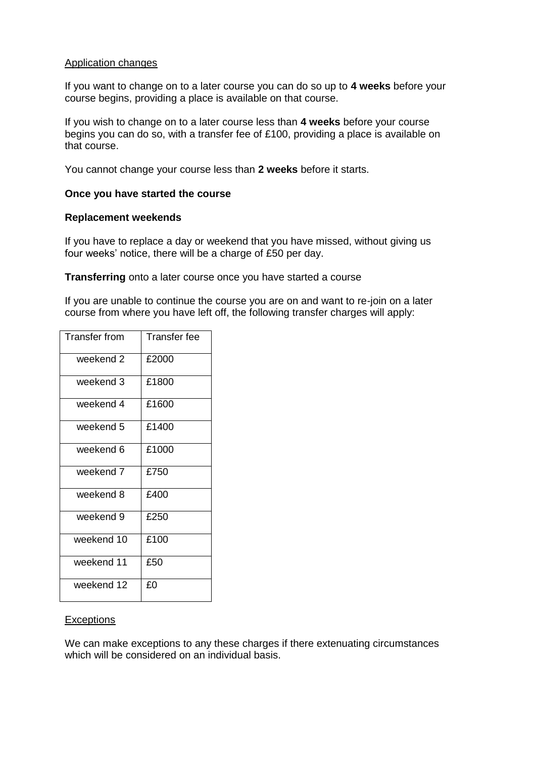### Application changes

If you want to change on to a later course you can do so up to **4 weeks** before your course begins, providing a place is available on that course.

If you wish to change on to a later course less than **4 weeks** before your course begins you can do so, with a transfer fee of £100, providing a place is available on that course.

You cannot change your course less than **2 weeks** before it starts.

#### **Once you have started the course**

#### **Replacement weekends**

If you have to replace a day or weekend that you have missed, without giving us four weeks' notice, there will be a charge of £50 per day.

**Transferring** onto a later course once you have started a course

If you are unable to continue the course you are on and want to re-join on a later course from where you have left off, the following transfer charges will apply:

| Transfer from | <b>Transfer fee</b> |
|---------------|---------------------|
| weekend 2     | £2000               |
| weekend 3     | £1800               |
| weekend 4     | £1600               |
| weekend 5     | £1400               |
| weekend 6     | £1000               |
| weekend 7     | £750                |
| weekend 8     | £400                |
| weekend 9     | £250                |
| weekend 10    | £100                |
| weekend 11    | £50                 |
| weekend 12    | £0                  |

## **Exceptions**

We can make exceptions to any these charges if there extenuating circumstances which will be considered on an individual basis.